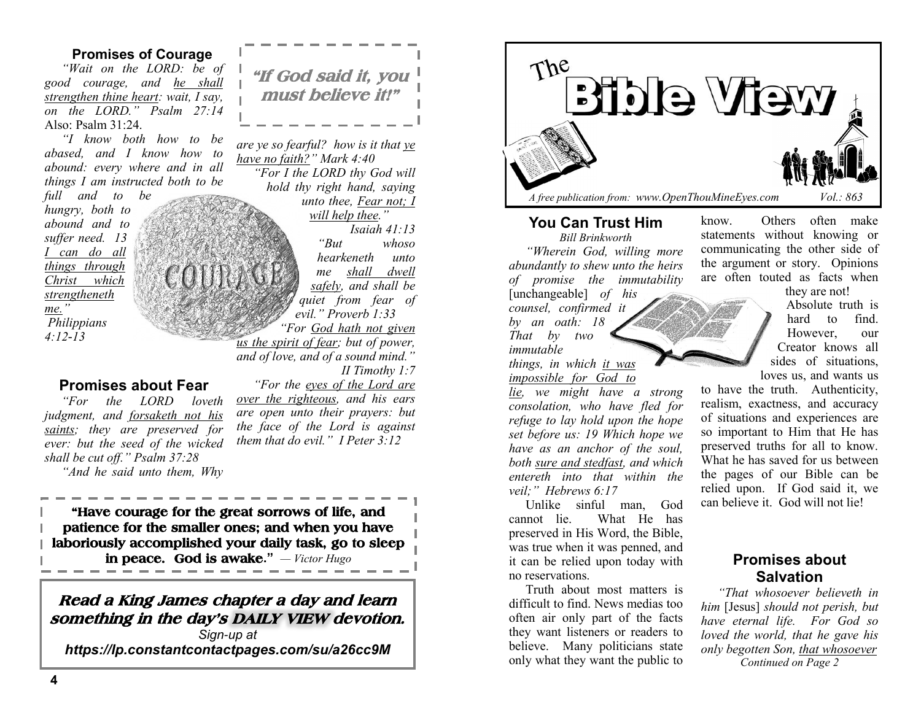## **Promises of Courage**

*"Wait on the LORD: be of good courage, and he shall strengthen thine heart: wait, I say, on the LORD." Psalm 27:14*  Also: Psalm 31:24.

*"I know both how to be abased, and I know how to abound: every where and in all things I am instructed both to be* 

*full and to be hungry, both to abound and to suffer need. 13 I can do all things through Christ which strengtheneth me." Philippians 4:12-13* 

## **Promises about Fear**

*"For the LORD loveth judgment, and forsaketh not his saints; they are preserved for ever: but the seed of the wicked shall be cut off." Psalm 37:28*

*"And he said unto them, Why* 

**"If God said it, you must believe it!"** 

*are ye so fearful? how is it that ye have no faith?" Mark 4:40 "For I the LORD thy God will hold thy right hand, saying unto thee, Fear not; I will help thee." Isaiah 41:13 "But whoso hearkeneth unto me shall dwell safely, and shall be quiet from fear of evil." Proverb 1:33*

*"For God hath not given us the spirit of fear; but of power, and of love, and of a sound mind." II Timothy 1:7*

*"For the eyes of the Lord are over the righteous, and his ears are open unto their prayers: but the face of the Lord is against* 

*them that do evil." I Peter 3:12*

**"Have courage for the great sorrows of life, and patience for the smaller ones; and when you have laboriously accomplished your daily task, go to sleep in peace. God is awake."** *— Victor Hugo*

# **Read a King James chapter a day and learn something in the day's DAILY VIEW devotion.**

*Sign-up at https://lp.constantcontactpages.com/su/a26cc9M*



### **You Can Trust Him**

*Bill Brinkworth "Wherein God, willing more abundantly to shew unto the heirs of promise the immutability* 

[unchangeable] *of his counsel, confirmed it by an oath: 18 That by two immutable things, in which it was* 

*impossible for God to* 

*lie, we might have a strong consolation, who have fled for refuge to lay hold upon the hope set before us: 19 Which hope we have as an anchor of the soul, both sure and stedfast, and which entereth into that within the veil;" Hebrews 6:17*

Unlike sinful man, God cannot lie. What He has preserved in His Word, the Bible, was true when it was penned, and it can be relied upon today with no reservations.

Truth about most matters is difficult to find. News medias too often air only part of the facts they want listeners or readers to believe. Many politicians state only what they want the public to

know. Others often make statements without knowing or communicating the other side of the argument or story. Opinions are often touted as facts when

they are not!

Absolute truth is hard to find. However, our Creator knows all sides of situations, loves us, and wants us

to have the truth. Authenticity, realism, exactness, and accuracy of situations and experiences are so important to Him that He has preserved truths for all to know. What he has saved for us between the pages of our Bible can be relied upon. If God said it, we can believe it. God will not lie!

# **Promises about Salvation**

*"That whosoever believeth in him* [Jesus] *should not perish, but have eternal life. For God so loved the world, that he gave his only begotten Son, that whosoever Continued on Page 2*